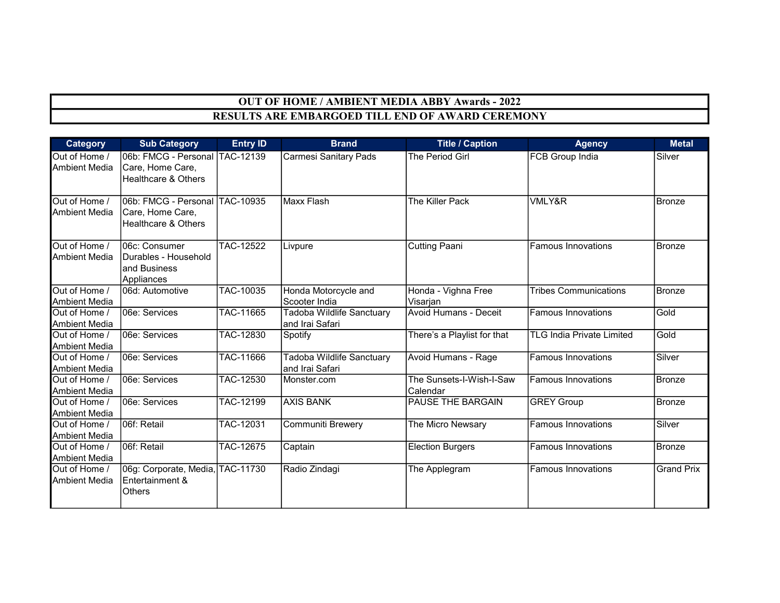## OUT OF HOME / AMBIENT MEDIA ABBY Awards - 2022 RESULTS ARE EMBARGOED TILL END OF AWARD CEREMONY

| Category                              | <b>Sub Category</b>                                                                  | <b>Entry ID</b>  | <b>Brand</b>                                 | <b>Title / Caption</b>               | <b>Agency</b>                    | <b>Metal</b>      |
|---------------------------------------|--------------------------------------------------------------------------------------|------------------|----------------------------------------------|--------------------------------------|----------------------------------|-------------------|
| Out of Home /<br><b>Ambient Media</b> | l06b: FMCG - Personal lTAC-12139<br>Care, Home Care,<br>Healthcare & Others          |                  | <b>Carmesi Sanitary Pads</b>                 | The Period Girl                      | FCB Group India                  | Silver            |
| Out of Home /<br><b>Ambient Media</b> | 06b: FMCG - Personal TAC-10935<br>Care, Home Care,<br><b>Healthcare &amp; Others</b> |                  | Maxx Flash                                   | The Killer Pack                      | VMLY&R                           | Bronze            |
| Out of Home /<br><b>Ambient Media</b> | 06c: Consumer<br>Durables - Household<br>and Business<br>Appliances                  | TAC-12522        | Livpure                                      | <b>Cutting Paani</b>                 | <b>Famous Innovations</b>        | <b>Bronze</b>     |
| Out of Home /<br><b>Ambient Media</b> | 06d: Automotive                                                                      | TAC-10035        | Honda Motorcycle and<br>Scooter India        | Honda - Vighna Free<br>Visarjan      | <b>Tribes Communications</b>     | Bronze            |
| Out of Home /<br><b>Ambient Media</b> | 106e: Services                                                                       | TAC-11665        | Tadoba Wildlife Sanctuary<br>and Irai Safari | <b>Avoid Humans - Deceit</b>         | <b>Famous Innovations</b>        | Gold              |
| Out of Home /<br><b>Ambient Media</b> | 06e: Services                                                                        | <b>TAC-12830</b> | Spotify                                      | There's a Playlist for that          | <b>TLG India Private Limited</b> | Gold              |
| Out of Home /<br><b>Ambient Media</b> | 06e: Services                                                                        | TAC-11666        | Tadoba Wildlife Sanctuary<br>and Irai Safari | Avoid Humans - Rage                  | <b>Famous Innovations</b>        | Silver            |
| Out of Home /<br><b>Ambient Media</b> | 06e: Services                                                                        | TAC-12530        | Monster.com                                  | The Sunsets-I-Wish-I-Saw<br>Calendar | <b>Famous Innovations</b>        | Bronze            |
| Out of Home /<br><b>Ambient Media</b> | 06e: Services                                                                        | TAC-12199        | <b>AXIS BANK</b>                             | PAUSE THE BARGAIN                    | <b>GREY Group</b>                | <b>Bronze</b>     |
| Out of Home /<br><b>Ambient Media</b> | 06f: Retail                                                                          | <b>TAC-12031</b> | Communiti Brewery                            | The Micro Newsary                    | <b>Famous Innovations</b>        | Silver            |
| Out of Home /<br><b>Ambient Media</b> | 06f: Retail                                                                          | TAC-12675        | Captain                                      | <b>Election Burgers</b>              | <b>Famous Innovations</b>        | <b>Bronze</b>     |
| Out of Home /<br>Ambient Media        | 06g: Corporate, Media, TAC-11730<br>Entertainment &<br>Others                        |                  | Radio Zindagi                                | The Applegram                        | <b>Famous Innovations</b>        | <b>Grand Prix</b> |